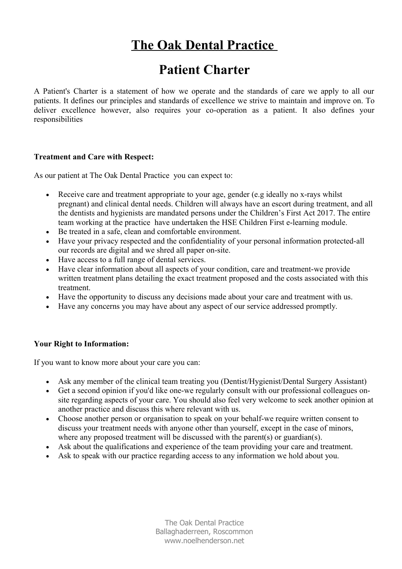# **The Oak Dental Practice**

# **Patient Charter**

A Patient's Charter is a statement of how we operate and the standards of care we apply to all our patients. It defines our principles and standards of excellence we strive to maintain and improve on. To deliver excellence however, also requires your co-operation as a patient. It also defines your responsibilities

#### **Treatment and Care with Respect:**

As our patient at The Oak Dental Practice you can expect to:

- Receive care and treatment appropriate to your age, gender (e.g ideally no x-rays whilst pregnant) and clinical dental needs. Children will always have an escort during treatment, and all the dentists and hygienists are mandated persons under the Children's First Act 2017. The entire team working at the practice have undertaken the HSE Children First e-learning module.
- Be treated in a safe, clean and comfortable environment.
- Have your privacy respected and the confidentiality of your personal information protected-all our records are digital and we shred all paper on-site.
- Have access to a full range of dental services.
- Have clear information about all aspects of your condition, care and treatment-we provide written treatment plans detailing the exact treatment proposed and the costs associated with this treatment.
- Have the opportunity to discuss any decisions made about your care and treatment with us.
- Have any concerns you may have about any aspect of our service addressed promptly.

### **Your Right to Information:**

If you want to know more about your care you can:

- Ask any member of the clinical team treating you (Dentist/Hygienist/Dental Surgery Assistant)
- Get a second opinion if you'd like one-we regularly consult with our professional colleagues onsite regarding aspects of your care. You should also feel very welcome to seek another opinion at another practice and discuss this where relevant with us.
- Choose another person or organisation to speak on your behalf-we require written consent to discuss your treatment needs with anyone other than yourself, except in the case of minors, where any proposed treatment will be discussed with the parent(s) or guardian(s).
- Ask about the qualifications and experience of the team providing your care and treatment.
- Ask to speak with our practice regarding access to any information we hold about you.

The Oak Dental Practice Ballaghaderreen, Roscommon www.noelhenderson.net